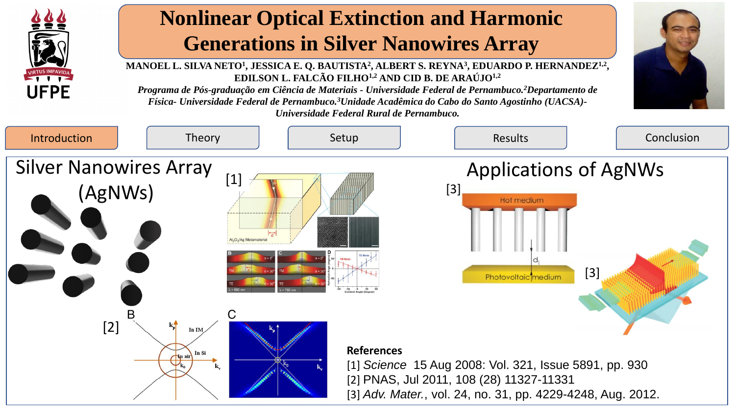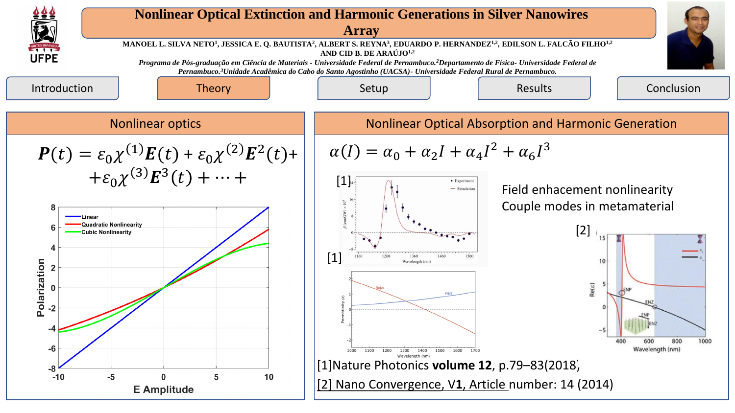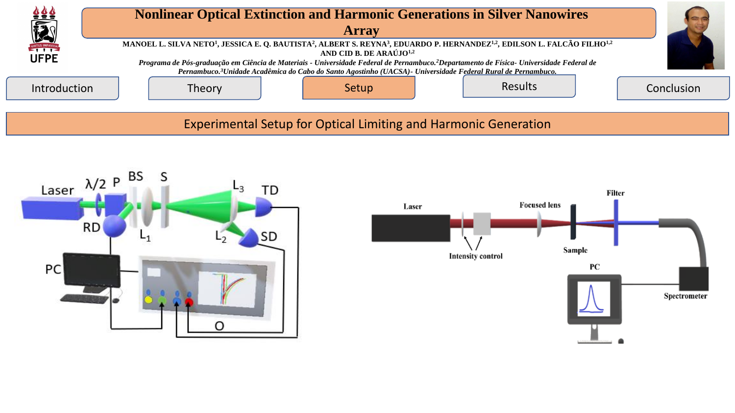

Experimental Setup for Optical Limiting and Harmonic Generation



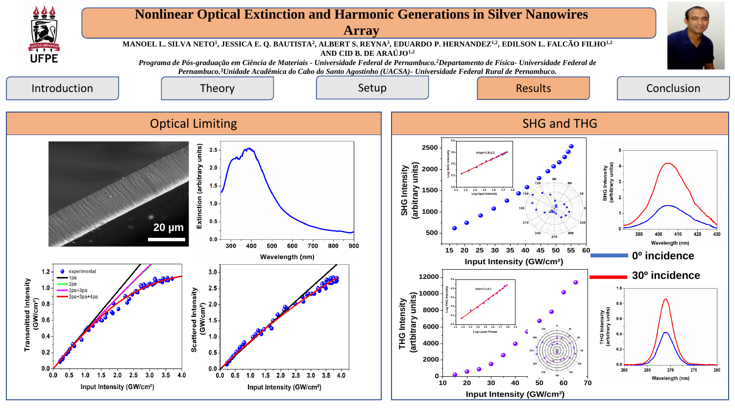